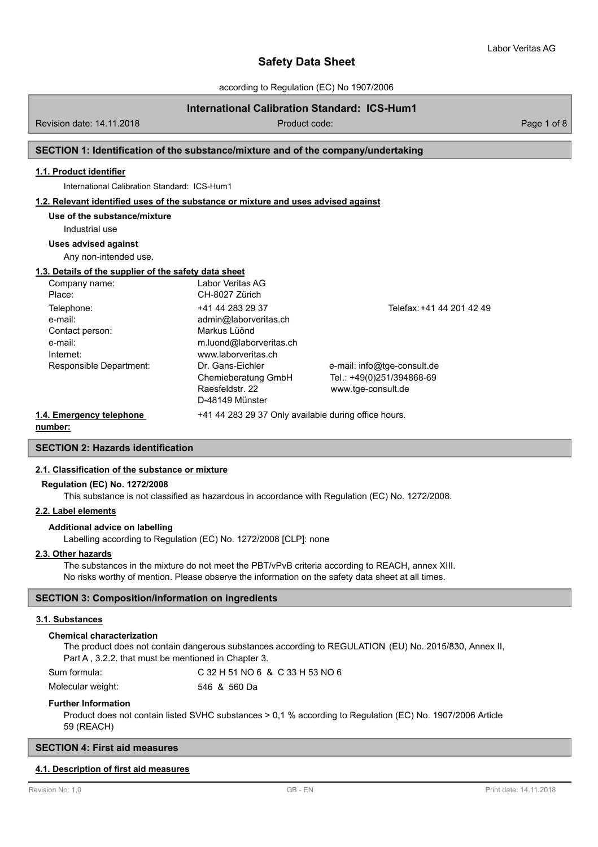according to Regulation (EC) No 1907/2006

# **International Calibration Standard: ICS-Hum1**

Revision date: 14.11.2018 **Product code:** Product code: Product code: Page 1 of 8

## **SECTION 1: Identification of the substance/mixture and of the company/undertaking**

## **1.1. Product identifier**

International Calibration Standard: ICS-Hum1

#### **1.2. Relevant identified uses of the substance or mixture and uses advised against**

# **Use of the substance/mixture**

Industrial use

#### **Uses advised against**

Any non-intended use.

# **1.3. Details of the supplier of the safety data sheet**

| Company name:                                                    | Labor Veritas AG                                                                                            |                                                                                |
|------------------------------------------------------------------|-------------------------------------------------------------------------------------------------------------|--------------------------------------------------------------------------------|
| Place:                                                           | CH-8027 Zürich                                                                                              |                                                                                |
| Telephone:<br>e-mail:<br>Contact person:<br>e-mail:<br>Internet: | +41 44 283 29 37<br>admin@laborveritas.ch<br>Markus Lüönd<br>m.luond@laborveritas.ch<br>www.laborveritas.ch | Telefax: +41 44 201 42 49                                                      |
| Responsible Department:                                          | Dr. Gans-Eichler<br>Chemieberatung GmbH<br>Raesfeldstr. 22<br>D-48149 Münster                               | e-mail: info@tge-consult.de<br>Tel.: +49(0)251/394868-69<br>www.tge-consult.de |
| 1.4. Emergency telephone                                         | +41 44 283 29 37 Only available during office hours.                                                        |                                                                                |

# **number:**

**SECTION 2: Hazards identification**

#### **2.1. Classification of the substance or mixture**

#### **Regulation (EC) No. 1272/2008**

This substance is not classified as hazardous in accordance with Regulation (EC) No. 1272/2008.

## **2.2. Label elements**

## **Additional advice on labelling**

Labelling according to Regulation (EC) No. 1272/2008 [CLP]: none

#### **2.3. Other hazards**

The substances in the mixture do not meet the PBT/vPvB criteria according to REACH, annex XIII. No risks worthy of mention. Please observe the information on the safety data sheet at all times.

## **SECTION 3: Composition/information on ingredients**

#### **3.1. Substances**

#### **Chemical characterization**

The product does not contain dangerous substances according to REGULATION (EU) No. 2015/830, Annex II, Part A , 3.2.2. that must be mentioned in Chapter 3.

| Sum formula:      | C 32 H 51 NO 6 & C 33 H 53 NO 6 |
|-------------------|---------------------------------|
| Molecular weight: | 546 & 560 Da                    |

#### **Further Information**

Product does not contain listed SVHC substances > 0,1 % according to Regulation (EC) No. 1907/2006 Article 59 (REACH)

# **SECTION 4: First aid measures**

#### **4.1. Description of first aid measures**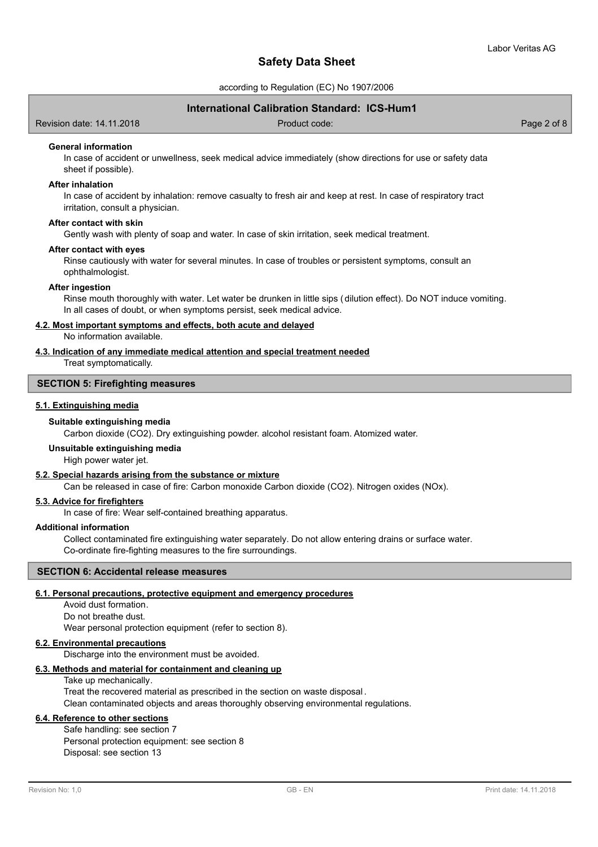according to Regulation (EC) No 1907/2006

# **International Calibration Standard: ICS-Hum1**

Revision date: 14.11.2018 Product code: Page 2 of 8

#### **General information**

In case of accident or unwellness, seek medical advice immediately (show directions for use or safety data sheet if possible).

## **After inhalation**

In case of accident by inhalation: remove casualty to fresh air and keep at rest. In case of respiratory tract irritation, consult a physician.

#### **After contact with skin**

Gently wash with plenty of soap and water. In case of skin irritation, seek medical treatment.

#### **After contact with eyes**

Rinse cautiously with water for several minutes. In case of troubles or persistent symptoms, consult an ophthalmologist.

#### **After ingestion**

Rinse mouth thoroughly with water. Let water be drunken in little sips (dilution effect). Do NOT induce vomiting. In all cases of doubt, or when symptoms persist, seek medical advice.

# **4.2. Most important symptoms and effects, both acute and delayed**

No information available.

## **4.3. Indication of any immediate medical attention and special treatment needed**

Treat symptomatically.

#### **SECTION 5: Firefighting measures**

# **5.1. Extinguishing media**

#### **Suitable extinguishing media**

Carbon dioxide (CO2). Dry extinguishing powder. alcohol resistant foam. Atomized water.

#### **Unsuitable extinguishing media**

High power water jet.

# **5.2. Special hazards arising from the substance or mixture**

Can be released in case of fire: Carbon monoxide Carbon dioxide (CO2). Nitrogen oxides (NOx).

# **5.3. Advice for firefighters**

In case of fire: Wear self-contained breathing apparatus.

#### **Additional information**

Collect contaminated fire extinguishing water separately. Do not allow entering drains or surface water. Co-ordinate fire-fighting measures to the fire surroundings.

# **SECTION 6: Accidental release measures**

#### **6.1. Personal precautions, protective equipment and emergency procedures**

Avoid dust formation. Do not breathe dust. Wear personal protection equipment (refer to section 8).

#### **6.2. Environmental precautions**

Discharge into the environment must be avoided.

# **6.3. Methods and material for containment and cleaning up**

Take up mechanically.

Treat the recovered material as prescribed in the section on waste disposal . Clean contaminated objects and areas thoroughly observing environmental regulations.

# **6.4. Reference to other sections**

Safe handling: see section 7 Personal protection equipment: see section 8 Disposal: see section 13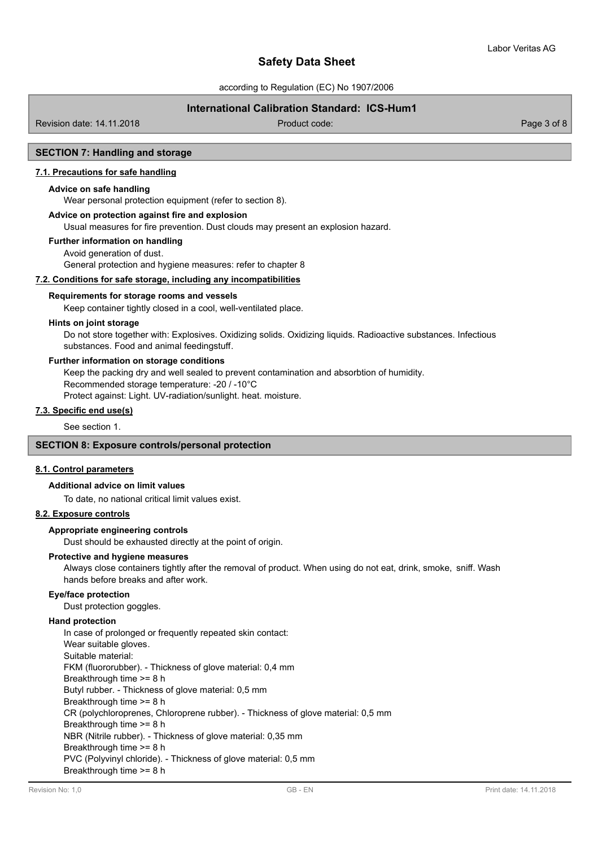according to Regulation (EC) No 1907/2006

# **International Calibration Standard: ICS-Hum1**

Revision date: 14.11.2018 Product code: Page 3 of 8

# **SECTION 7: Handling and storage**

# **7.1. Precautions for safe handling**

## **Advice on safe handling**

Wear personal protection equipment (refer to section 8).

# **Advice on protection against fire and explosion**

Usual measures for fire prevention. Dust clouds may present an explosion hazard.

#### **Further information on handling**

Avoid generation of dust. General protection and hygiene measures: refer to chapter 8

# **7.2. Conditions for safe storage, including any incompatibilities**

#### **Requirements for storage rooms and vessels**

Keep container tightly closed in a cool, well-ventilated place.

#### **Hints on joint storage**

Do not store together with: Explosives. Oxidizing solids. Oxidizing liquids. Radioactive substances. Infectious substances. Food and animal feedingstuff.

#### **Further information on storage conditions**

Keep the packing dry and well sealed to prevent contamination and absorbtion of humidity.

Recommended storage temperature: -20 / -10°C

Protect against: Light. UV-radiation/sunlight. heat. moisture.

# **7.3. Specific end use(s)**

See section 1.

# **SECTION 8: Exposure controls/personal protection**

#### **8.1. Control parameters**

#### **Additional advice on limit values**

To date, no national critical limit values exist.

# **8.2. Exposure controls**

#### **Appropriate engineering controls**

Dust should be exhausted directly at the point of origin.

#### **Protective and hygiene measures**

Always close containers tightly after the removal of product. When using do not eat, drink, smoke, sniff. Wash hands before breaks and after work.

#### **Eye/face protection**

Dust protection goggles.

## **Hand protection**

In case of prolonged or frequently repeated skin contact: Wear suitable gloves. Suitable material: FKM (fluororubber). - Thickness of glove material: 0,4 mm Breakthrough time >= 8 h Butyl rubber. - Thickness of glove material: 0,5 mm Breakthrough time >= 8 h CR (polychloroprenes, Chloroprene rubber). - Thickness of glove material: 0,5 mm Breakthrough time >= 8 h NBR (Nitrile rubber). - Thickness of glove material: 0,35 mm Breakthrough time >= 8 h PVC (Polyvinyl chloride). - Thickness of glove material: 0,5 mm Breakthrough time >= 8 h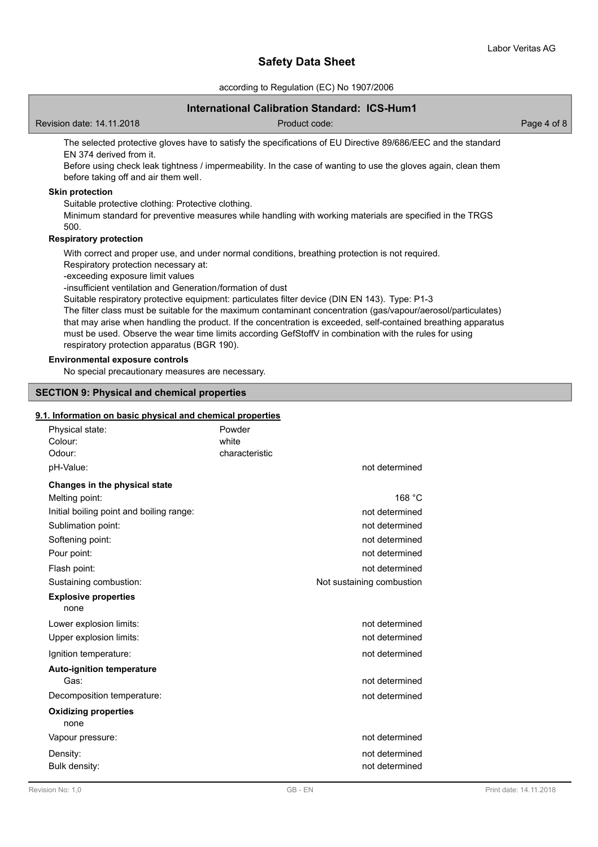according to Regulation (EC) No 1907/2006

# **International Calibration Standard: ICS-Hum1**

Revision date: 14.11.2018 Product code: Page 4 of 8

The selected protective gloves have to satisfy the specifications of EU Directive 89/686/EEC and the standard EN 374 derived from it.

Before using check leak tightness / impermeability. In the case of wanting to use the gloves again, clean them before taking off and air them well.

# **Skin protection**

Suitable protective clothing: Protective clothing.

Minimum standard for preventive measures while handling with working materials are specified in the TRGS 500.

# **Respiratory protection**

With correct and proper use, and under normal conditions, breathing protection is not required.

Respiratory protection necessary at:

-exceeding exposure limit values

-insufficient ventilation and Generation/formation of dust

Suitable respiratory protective equipment: particulates filter device (DIN EN 143). Type: P1-3

The filter class must be suitable for the maximum contaminant concentration (gas/vapour/aerosol/particulates) that may arise when handling the product. If the concentration is exceeded, self-contained breathing apparatus must be used. Observe the wear time limits according GefStoffV in combination with the rules for using respiratory protection apparatus (BGR 190).

# **Environmental exposure controls**

No special precautionary measures are necessary.

# **SECTION 9: Physical and chemical properties**

## **9.1. Information on basic physical and chemical properties**

| Physical state:<br>Powder<br>Colour:<br>white<br>Odour:<br>characteristic | not determined            |
|---------------------------------------------------------------------------|---------------------------|
| pH-Value:                                                                 |                           |
| Changes in the physical state                                             |                           |
| Melting point:                                                            | 168 °C                    |
| Initial boiling point and boiling range:                                  | not determined            |
| Sublimation point:                                                        | not determined            |
| Softening point:                                                          | not determined            |
| Pour point:                                                               | not determined            |
| Flash point:                                                              | not determined            |
| Sustaining combustion:                                                    | Not sustaining combustion |
| <b>Explosive properties</b><br>none                                       |                           |
| Lower explosion limits:                                                   | not determined            |
| Upper explosion limits:                                                   | not determined            |
| Ignition temperature:                                                     | not determined            |
| <b>Auto-ignition temperature</b>                                          |                           |
| Gas:                                                                      | not determined            |
| Decomposition temperature:                                                | not determined            |
| <b>Oxidizing properties</b><br>none                                       |                           |
| Vapour pressure:                                                          | not determined            |
| Density:                                                                  | not determined            |
| Bulk density:                                                             | not determined            |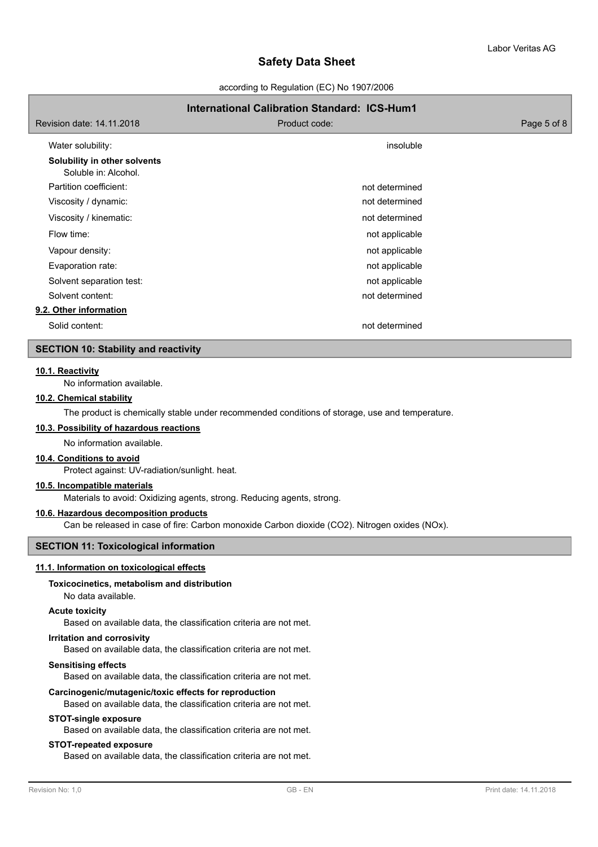according to Regulation (EC) No 1907/2006

# **International Calibration Standard: ICS-Hum1** Revision date: 14.11.2018 Product code: Page 5 of 8 Water solubility: insoluble that the solubility: insoluble that the soluble that the soluble that the soluble **Solubility in other solvents** Soluble in: Alcohol. Partition coefficient: not determined Viscosity / dynamic: not determined viscosity / dynamic: Viscosity / kinematic: not determined Flow time: not applicable the state of the state of the state of the state of the state of the state of the state of the state of the state of the state of the state of the state of the state of the state of the state of t Vapour density:  $\blacksquare$ Evaporation rate: not applicable to the state of the state of the state of the state of the state of the state of the state of the state of the state of the state of the state of the state of the state of the state of the Solvent separation test: not applicable separation test: not applicable Solvent content: not determined **9.2. Other information** Solid content: not determined

# **SECTION 10: Stability and reactivity**

# **10.1. Reactivity**

No information available.

# **10.2. Chemical stability**

The product is chemically stable under recommended conditions of storage, use and temperature.

## **10.3. Possibility of hazardous reactions**

No information available.

# **10.4. Conditions to avoid**

Protect against: UV-radiation/sunlight. heat.

#### **10.5. Incompatible materials**

Materials to avoid: Oxidizing agents, strong. Reducing agents, strong.

# **10.6. Hazardous decomposition products**

Can be released in case of fire: Carbon monoxide Carbon dioxide (CO2). Nitrogen oxides (NOx).

#### **SECTION 11: Toxicological information**

#### **11.1. Information on toxicological effects**

## **Toxicocinetics, metabolism and distribution**

No data available.

#### **Acute toxicity**

Based on available data, the classification criteria are not met.

#### **Irritation and corrosivity**

Based on available data, the classification criteria are not met.

## **Sensitising effects**

Based on available data, the classification criteria are not met.

#### **Carcinogenic/mutagenic/toxic effects for reproduction**

Based on available data, the classification criteria are not met.

#### **STOT-single exposure**

Based on available data, the classification criteria are not met.

#### **STOT-repeated exposure**

Based on available data, the classification criteria are not met.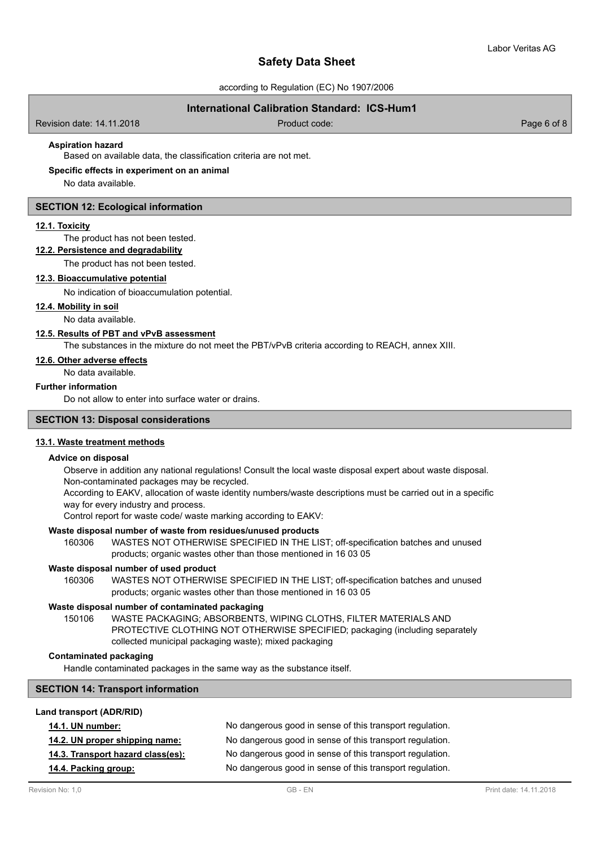according to Regulation (EC) No 1907/2006

# **International Calibration Standard: ICS-Hum1**

Revision date: 14.11.2018 Product code: Page 6 of 8

# **Aspiration hazard**

Based on available data, the classification criteria are not met.

## **Specific effects in experiment on an animal**

No data available.

#### **SECTION 12: Ecological information**

#### **12.1. Toxicity**

The product has not been tested.

# **12.2. Persistence and degradability**

The product has not been tested.

#### **12.3. Bioaccumulative potential**

No indication of bioaccumulation potential.

#### **12.4. Mobility in soil**

No data available.

#### **12.5. Results of PBT and vPvB assessment**

The substances in the mixture do not meet the PBT/vPvB criteria according to REACH, annex XIII.

# **12.6. Other adverse effects**

No data available.

# **Further information**

Do not allow to enter into surface water or drains.

# **SECTION 13: Disposal considerations**

#### **13.1. Waste treatment methods**

#### **Advice on disposal**

Observe in addition any national regulations! Consult the local waste disposal expert about waste disposal. Non-contaminated packages may be recycled.

According to EAKV, allocation of waste identity numbers/waste descriptions must be carried out in a specific way for every industry and process.

Control report for waste code/ waste marking according to EAKV:

#### **Waste disposal number of waste from residues/unused products**

160306 WASTES NOT OTHERWISE SPECIFIED IN THE LIST; off-specification batches and unused products; organic wastes other than those mentioned in 16 03 05

#### **Waste disposal number of used product**

WASTES NOT OTHERWISE SPECIFIED IN THE LIST; off-specification batches and unused products; organic wastes other than those mentioned in 16 03 05 160306

#### **Waste disposal number of contaminated packaging**

WASTE PACKAGING; ABSORBENTS, WIPING CLOTHS, FILTER MATERIALS AND PROTECTIVE CLOTHING NOT OTHERWISE SPECIFIED; packaging (including separately collected municipal packaging waste); mixed packaging 150106

#### **Contaminated packaging**

Handle contaminated packages in the same way as the substance itself.

# **SECTION 14: Transport information**

# **Land transport (ADR/RID)**

| <b>14.1. UN number:</b>           | No dangerous good in sense of this transport regulation. |
|-----------------------------------|----------------------------------------------------------|
| 14.2. UN proper shipping name:    | No dangerous good in sense of this transport regulation. |
| 14.3. Transport hazard class(es): | No dangerous good in sense of this transport regulation. |
| 14.4. Packing group:              | No dangerous good in sense of this transport regulation. |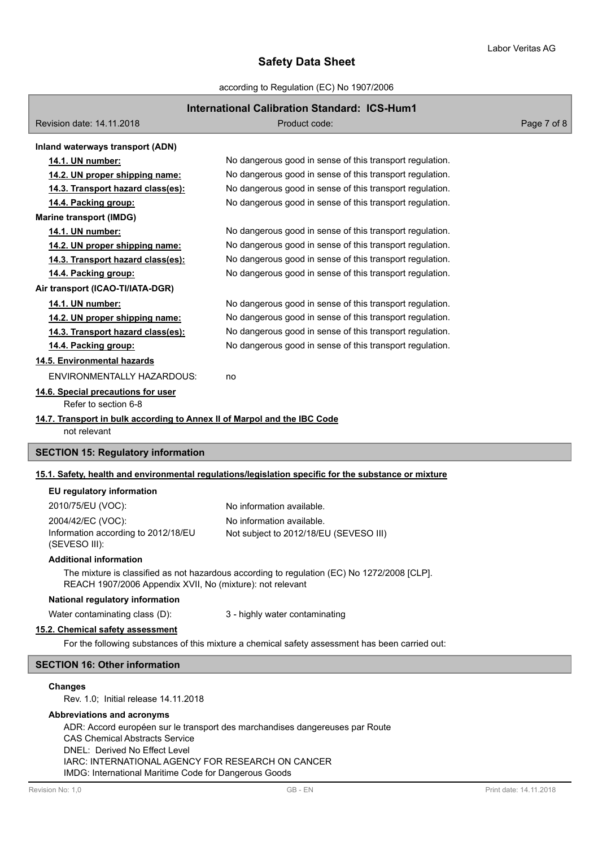according to Regulation (EC) No 1907/2006

# **International Calibration Standard: ICS-Hum1**

| Revision date: 14.11.2018                                                                            | Product code:                                            | Page 7 of 8 |
|------------------------------------------------------------------------------------------------------|----------------------------------------------------------|-------------|
| Inland waterways transport (ADN)                                                                     |                                                          |             |
| 14.1. UN number:                                                                                     | No dangerous good in sense of this transport regulation. |             |
| 14.2. UN proper shipping name:                                                                       | No dangerous good in sense of this transport regulation. |             |
| 14.3. Transport hazard class(es):                                                                    | No dangerous good in sense of this transport regulation. |             |
| 14.4. Packing group:                                                                                 | No dangerous good in sense of this transport regulation. |             |
| <b>Marine transport (IMDG)</b>                                                                       |                                                          |             |
| 14.1. UN number:                                                                                     | No dangerous good in sense of this transport regulation. |             |
| 14.2. UN proper shipping name:                                                                       | No dangerous good in sense of this transport regulation. |             |
| 14.3. Transport hazard class(es):                                                                    | No dangerous good in sense of this transport regulation. |             |
| 14.4. Packing group:                                                                                 | No dangerous good in sense of this transport regulation. |             |
| Air transport (ICAO-TI/IATA-DGR)                                                                     |                                                          |             |
| 14.1. UN number:                                                                                     | No dangerous good in sense of this transport regulation. |             |
| 14.2. UN proper shipping name:                                                                       | No dangerous good in sense of this transport regulation. |             |
| 14.3. Transport hazard class(es):                                                                    | No dangerous good in sense of this transport regulation. |             |
| 14.4. Packing group:                                                                                 | No dangerous good in sense of this transport regulation. |             |
| 14.5. Environmental hazards                                                                          |                                                          |             |
| <b>ENVIRONMENTALLY HAZARDOUS:</b>                                                                    | no                                                       |             |
| 14.6. Special precautions for user<br>Refer to section 6-8                                           |                                                          |             |
| 14.7. Transport in bulk according to Annex II of Marpol and the IBC Code<br>not relevant             |                                                          |             |
| <b>SECTION 15: Regulatory information</b>                                                            |                                                          |             |
| 15.1. Safety, health and environmental regulations/legislation specific for the substance or mixture |                                                          |             |
| EU regulatory information                                                                            |                                                          |             |

| 2010/75/EU (VOC):                   | No information available.              |
|-------------------------------------|----------------------------------------|
| 2004/42/EC (VOC):                   | No information available.              |
| Information according to 2012/18/EU | Not subject to 2012/18/EU (SEVESO III) |
| (SEVESO III):                       |                                        |

#### **Additional information**

The mixture is classified as not hazardous according to regulation (EC) No 1272/2008 [CLP]. REACH 1907/2006 Appendix XVII, No (mixture): not relevant

# **National regulatory information**

Water contaminating class (D): 3 - highly water contaminating

# **15.2. Chemical safety assessment**

For the following substances of this mixture a chemical safety assessment has been carried out:

# **SECTION 16: Other information**

## **Changes**

Rev. 1.0; Initial release 14.11.2018

# **Abbreviations and acronyms**

ADR: Accord européen sur le transport des marchandises dangereuses par Route CAS Chemical Abstracts Service DNEL: Derived No Effect Level IARC: INTERNATIONAL AGENCY FOR RESEARCH ON CANCER IMDG: International Maritime Code for Dangerous Goods